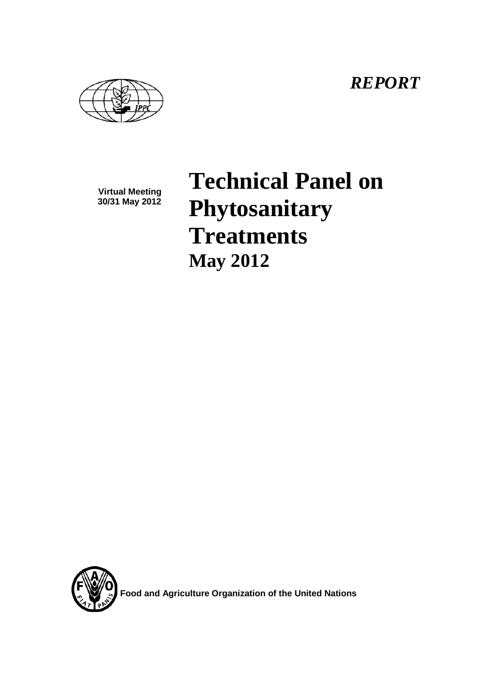*REPORT*

**Virtual Meeting 30/31 May 2012**

**Technical Panel on Phytosanitary Treatments May 2012**



**Food and Agriculture Organization of the United Nations**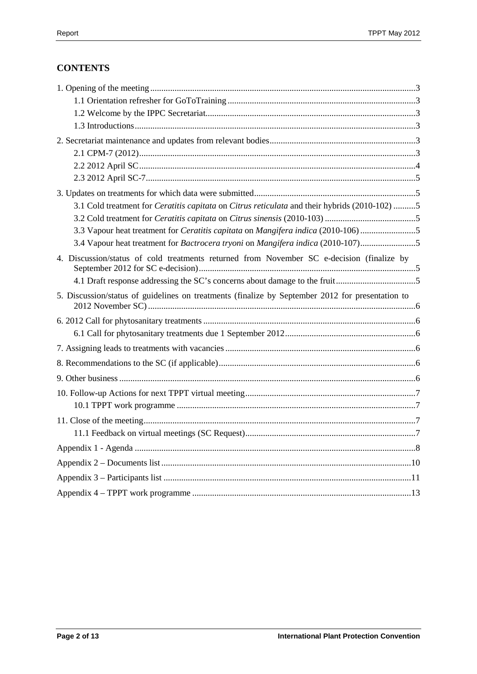# **CONTENTS**

| 3.1 Cold treatment for <i>Ceratitis capitata</i> on <i>Citrus reticulata</i> and their hybrids (2010-102) 5 |  |
|-------------------------------------------------------------------------------------------------------------|--|
|                                                                                                             |  |
| 3.3 Vapour heat treatment for Ceratitis capitata on Mangifera indica (2010-106) 5                           |  |
| 3.4 Vapour heat treatment for Bactrocera tryoni on Mangifera indica (2010-107)5                             |  |
| 4. Discussion/status of cold treatments returned from November SC e-decision (finalize by                   |  |
|                                                                                                             |  |
| 5. Discussion/status of guidelines on treatments (finalize by September 2012 for presentation to            |  |
|                                                                                                             |  |
|                                                                                                             |  |
|                                                                                                             |  |
|                                                                                                             |  |
|                                                                                                             |  |
|                                                                                                             |  |
|                                                                                                             |  |
|                                                                                                             |  |
|                                                                                                             |  |
|                                                                                                             |  |
|                                                                                                             |  |
|                                                                                                             |  |
|                                                                                                             |  |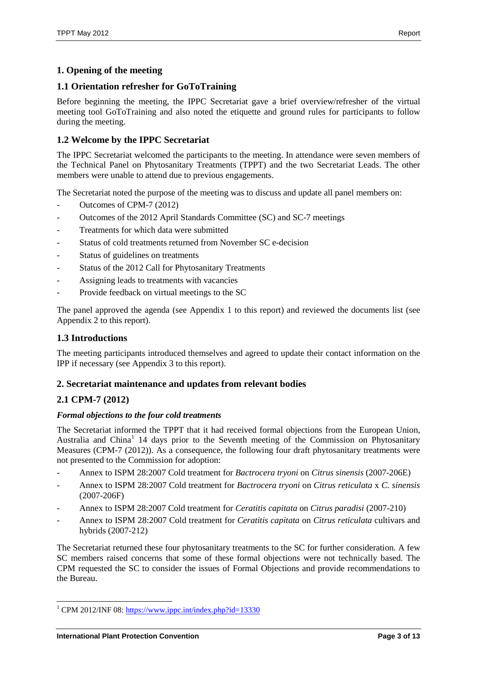# <span id="page-2-0"></span>**1. Opening of the meeting**

# <span id="page-2-1"></span>**1.1 Orientation refresher for GoToTraining**

Before beginning the meeting, the IPPC Secretariat gave a brief overview/refresher of the virtual meeting tool GoToTraining and also noted the etiquette and ground rules for participants to follow during the meeting.

# <span id="page-2-2"></span>**1.2 Welcome by the IPPC Secretariat**

The IPPC Secretariat welcomed the participants to the meeting. In attendance were seven members of the Technical Panel on Phytosanitary Treatments (TPPT) and the two Secretariat Leads. The other members were unable to attend due to previous engagements.

The Secretariat noted the purpose of the meeting was to discuss and update all panel members on:

- Outcomes of CPM-7 (2012)
- Outcomes of the 2012 April Standards Committee (SC) and SC-7 meetings
- Treatments for which data were submitted
- Status of cold treatments returned from November SC e-decision
- Status of guidelines on treatments
- Status of the 2012 Call for Phytosanitary Treatments
- Assigning leads to treatments with vacancies
- Provide feedback on virtual meetings to the SC

The panel approved the agenda (see Appendix 1 to this report) and reviewed the documents list (see Appendix 2 to this report).

#### <span id="page-2-3"></span>**1.3 Introductions**

The meeting participants introduced themselves and agreed to update their contact information on the IPP if necessary (see Appendix 3 to this report).

## <span id="page-2-4"></span>**2. Secretariat maintenance and updates from relevant bodies**

# <span id="page-2-5"></span>**2.1 CPM-7 (2012)**

#### *Formal objections to the four cold treatments*

The Secretariat informed the TPPT that it had received formal objections from the European Union, Australia and China<sup>[1](#page-2-6)</sup> 14 days prior to the Seventh meeting of the Commission on Phytosanitary Measures (CPM-7 (2012)). As a consequence, the following four draft phytosanitary treatments were not presented to the Commission for adoption:

- Annex to ISPM 28:2007 Cold treatment for *Bactrocera tryoni* on *Citrus sinensis* (2007-206E)
- Annex to ISPM 28:2007 Cold treatment for *Bactrocera tryoni* on *Citrus reticulata* x *C. sinensis* (2007-206F)
- Annex to ISPM 28:2007 Cold treatment for *Ceratitis capitata* on *Citrus paradisi* (2007-210)
- Annex to ISPM 28:2007 Cold treatment for *Ceratitis capitata* on *Citrus reticulata* cultivars and hybrids (2007-212)

The Secretariat returned these four phytosanitary treatments to the SC for further consideration. A few SC members raised concerns that some of these formal objections were not technically based. The CPM requested the SC to consider the issues of Formal Objections and provide recommendations to the Bureau.

<span id="page-2-6"></span><sup>&</sup>lt;sup>1</sup> CPM 2012/INF 08:<https://www.ippc.int/index.php?id=13330>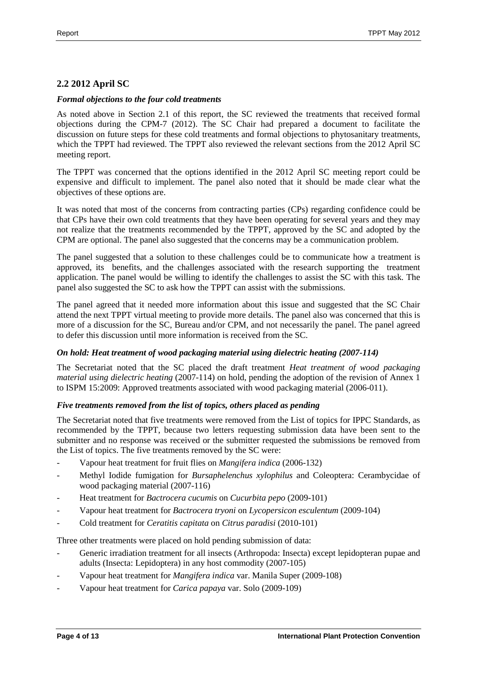## <span id="page-3-0"></span>**2.2 2012 April SC**

#### *Formal objections to the four cold treatments*

As noted above in Section 2.1 of this report, the SC reviewed the treatments that received formal objections during the CPM-7 (2012). The SC Chair had prepared a document to facilitate the discussion on future steps for these cold treatments and formal objections to phytosanitary treatments, which the TPPT had reviewed. The TPPT also reviewed the relevant sections from the 2012 April SC meeting report.

The TPPT was concerned that the options identified in the 2012 April SC meeting report could be expensive and difficult to implement. The panel also noted that it should be made clear what the objectives of these options are.

It was noted that most of the concerns from contracting parties (CPs) regarding confidence could be that CPs have their own cold treatments that they have been operating for several years and they may not realize that the treatments recommended by the TPPT, approved by the SC and adopted by the CPM are optional. The panel also suggested that the concerns may be a communication problem.

The panel suggested that a solution to these challenges could be to communicate how a treatment is approved, its benefits, and the challenges associated with the research supporting the treatment application. The panel would be willing to identify the challenges to assist the SC with this task. The panel also suggested the SC to ask how the TPPT can assist with the submissions.

The panel agreed that it needed more information about this issue and suggested that the SC Chair attend the next TPPT virtual meeting to provide more details. The panel also was concerned that this is more of a discussion for the SC, Bureau and/or CPM, and not necessarily the panel. The panel agreed to defer this discussion until more information is received from the SC.

#### *On hold: Heat treatment of wood packaging material using dielectric heating (2007-114)*

The Secretariat noted that the SC placed the draft treatment *Heat treatment of wood packaging material using dielectric heating* (2007-114) on hold, pending the adoption of the revision of Annex 1 to ISPM 15:2009: Approved treatments associated with wood packaging material (2006-011).

#### *Five treatments removed from the list of topics, others placed as pending*

The Secretariat noted that five treatments were removed from the List of topics for IPPC Standards, as recommended by the TPPT, because two letters requesting submission data have been sent to the submitter and no response was received or the submitter requested the submissions be removed from the List of topics. The five treatments removed by the SC were:

- Vapour heat treatment for fruit flies on *Mangifera indica* (2006-132)
- Methyl Iodide fumigation for *Bursaphelenchus xylophilus* and Coleoptera: Cerambycidae of wood packaging material (2007-116)
- Heat treatment for *Bactrocera cucumis* on *Cucurbita pepo* (2009-101)
- Vapour heat treatment for *Bactrocera tryoni* on *Lycopersicon esculentum* (2009-104)
- Cold treatment for *Ceratitis capitata* on *Citrus paradisi* (2010-101)

Three other treatments were placed on hold pending submission of data:

- Generic irradiation treatment for all insects (Arthropoda: Insecta) except lepidopteran pupae and adults (Insecta: Lepidoptera) in any host commodity (2007-105)
- Vapour heat treatment for *Mangifera indica* var. Manila Super (2009-108)
- Vapour heat treatment for *Carica papaya* var. Solo (2009-109)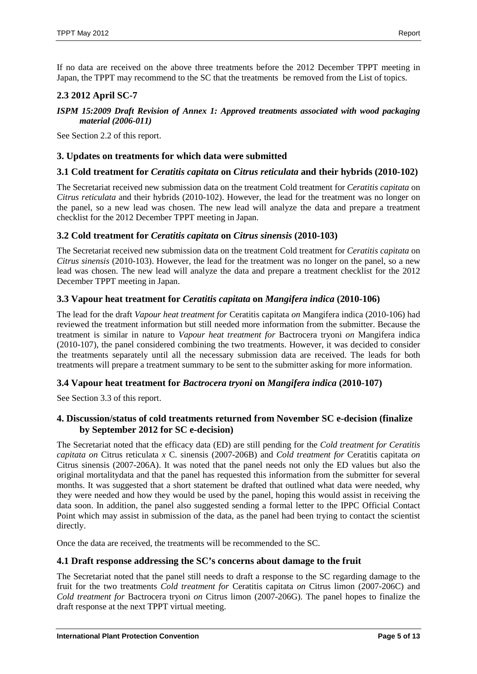If no data are received on the above three treatments before the 2012 December TPPT meeting in Japan, the TPPT may recommend to the SC that the treatments be removed from the List of topics.

## <span id="page-4-0"></span>**2.3 2012 April SC-7**

#### *ISPM 15:2009 Draft Revision of Annex 1: Approved treatments associated with wood packaging material (2006-011)*

See Section 2.2 of this report.

#### <span id="page-4-1"></span>**3. Updates on treatments for which data were submitted**

## <span id="page-4-2"></span>**3.1 Cold treatment for** *Ceratitis capitata* **on** *Citrus reticulata* **and their hybrids (2010-102)**

The Secretariat received new submission data on the treatment Cold treatment for *Ceratitis capitata* on *Citrus reticulata* and their hybrids (2010-102). However, the lead for the treatment was no longer on the panel, so a new lead was chosen. The new lead will analyze the data and prepare a treatment checklist for the 2012 December TPPT meeting in Japan.

#### <span id="page-4-3"></span>**3.2 Cold treatment for** *Ceratitis capitata* **on** *Citrus sinensis* **(2010-103)**

The Secretariat received new submission data on the treatment Cold treatment for *Ceratitis capitata* on *Citrus sinensis* (2010-103). However, the lead for the treatment was no longer on the panel, so a new lead was chosen. The new lead will analyze the data and prepare a treatment checklist for the 2012 December TPPT meeting in Japan.

## <span id="page-4-4"></span>**3.3 Vapour heat treatment for** *Ceratitis capitata* **on** *Mangifera indica* **(2010-106)**

The lead for the draft *Vapour heat treatment for* Ceratitis capitata *on* Mangifera indica (2010-106) had reviewed the treatment information but still needed more information from the submitter. Because the treatment is similar in nature to *Vapour heat treatment for* Bactrocera tryoni *on* Mangifera indica (2010-107), the panel considered combining the two treatments. However, it was decided to consider the treatments separately until all the necessary submission data are received. The leads for both treatments will prepare a treatment summary to be sent to the submitter asking for more information.

## <span id="page-4-5"></span>**3.4 Vapour heat treatment for** *Bactrocera tryoni* **on** *Mangifera indica* **(2010-107)**

See Section 3.3 of this report.

#### <span id="page-4-6"></span>**4. Discussion/status of cold treatments returned from November SC e-decision (finalize by September 2012 for SC e-decision)**

The Secretariat noted that the efficacy data (ED) are still pending for the *Cold treatment for Ceratitis capitata on* Citrus reticulata *x* C. sinensis (2007-206B) and *Cold treatment for* Ceratitis capitata *on*  Citrus sinensis (2007-206A). It was noted that the panel needs not only the ED values but also the original mortalitydata and that the panel has requested this information from the submitter for several months. It was suggested that a short statement be drafted that outlined what data were needed, why they were needed and how they would be used by the panel, hoping this would assist in receiving the data soon. In addition, the panel also suggested sending a formal letter to the IPPC Official Contact Point which may assist in submission of the data, as the panel had been trying to contact the scientist directly.

Once the data are received, the treatments will be recommended to the SC.

## <span id="page-4-7"></span>**4.1 Draft response addressing the SC's concerns about damage to the fruit**

The Secretariat noted that the panel still needs to draft a response to the SC regarding damage to the fruit for the two treatments *Cold treatment for* Ceratitis capitata *on* Citrus limon (2007-206C) and *Cold treatment for* Bactrocera tryoni *on* Citrus limon (2007-206G). The panel hopes to finalize the draft response at the next TPPT virtual meeting.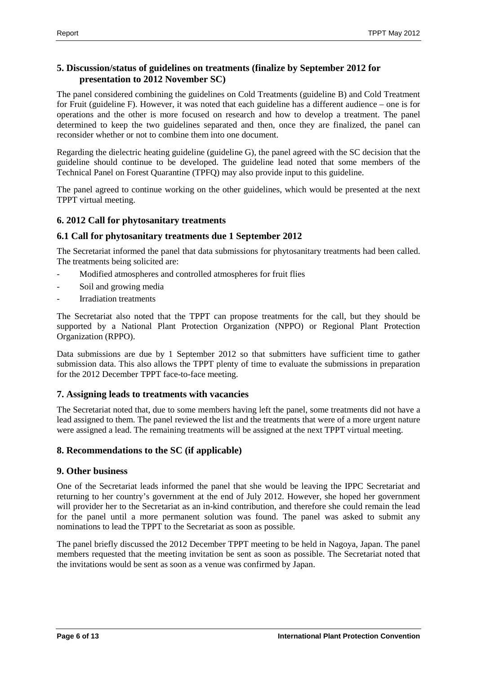# <span id="page-5-0"></span>**5. Discussion/status of guidelines on treatments (finalize by September 2012 for presentation to 2012 November SC)**

The panel considered combining the guidelines on Cold Treatments (guideline B) and Cold Treatment for Fruit (guideline F). However, it was noted that each guideline has a different audience – one is for operations and the other is more focused on research and how to develop a treatment. The panel determined to keep the two guidelines separated and then, once they are finalized, the panel can reconsider whether or not to combine them into one document.

Regarding the dielectric heating guideline (guideline G), the panel agreed with the SC decision that the guideline should continue to be developed. The guideline lead noted that some members of the Technical Panel on Forest Quarantine (TPFQ) may also provide input to this guideline.

The panel agreed to continue working on the other guidelines, which would be presented at the next TPPT virtual meeting.

# <span id="page-5-1"></span>**6. 2012 Call for phytosanitary treatments**

## <span id="page-5-2"></span>**6.1 Call for phytosanitary treatments due 1 September 2012**

The Secretariat informed the panel that data submissions for phytosanitary treatments had been called. The treatments being solicited are:

- Modified atmospheres and controlled atmospheres for fruit flies
- Soil and growing media
- Irradiation treatments

The Secretariat also noted that the TPPT can propose treatments for the call, but they should be supported by a National Plant Protection Organization (NPPO) or Regional Plant Protection Organization (RPPO).

Data submissions are due by 1 September 2012 so that submitters have sufficient time to gather submission data. This also allows the TPPT plenty of time to evaluate the submissions in preparation for the 2012 December TPPT face-to-face meeting.

## <span id="page-5-3"></span>**7. Assigning leads to treatments with vacancies**

The Secretariat noted that, due to some members having left the panel, some treatments did not have a lead assigned to them. The panel reviewed the list and the treatments that were of a more urgent nature were assigned a lead. The remaining treatments will be assigned at the next TPPT virtual meeting.

## <span id="page-5-4"></span>**8. Recommendations to the SC (if applicable)**

#### <span id="page-5-5"></span>**9. Other business**

One of the Secretariat leads informed the panel that she would be leaving the IPPC Secretariat and returning to her country's government at the end of July 2012. However, she hoped her government will provider her to the Secretariat as an in-kind contribution, and therefore she could remain the lead for the panel until a more permanent solution was found. The panel was asked to submit any nominations to lead the TPPT to the Secretariat as soon as possible.

The panel briefly discussed the 2012 December TPPT meeting to be held in Nagoya, Japan. The panel members requested that the meeting invitation be sent as soon as possible. The Secretariat noted that the invitations would be sent as soon as a venue was confirmed by Japan.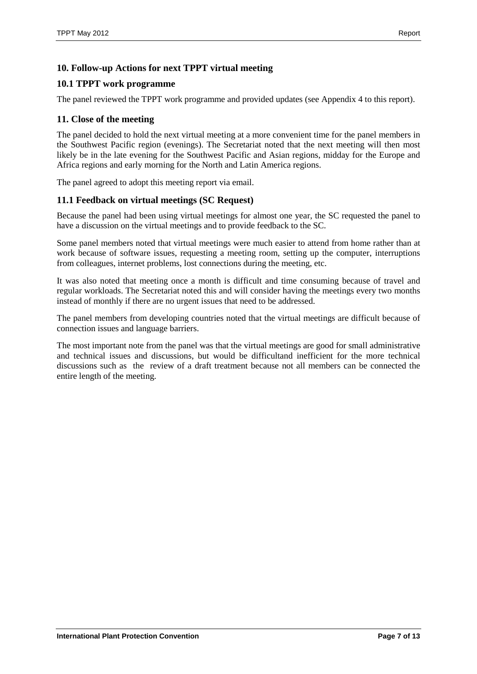# <span id="page-6-0"></span>**10. Follow-up Actions for next TPPT virtual meeting**

## <span id="page-6-1"></span>**10.1 TPPT work programme**

The panel reviewed the TPPT work programme and provided updates (see Appendix 4 to this report).

#### <span id="page-6-2"></span>**11. Close of the meeting**

The panel decided to hold the next virtual meeting at a more convenient time for the panel members in the Southwest Pacific region (evenings). The Secretariat noted that the next meeting will then most likely be in the late evening for the Southwest Pacific and Asian regions, midday for the Europe and Africa regions and early morning for the North and Latin America regions.

The panel agreed to adopt this meeting report via email.

## <span id="page-6-3"></span>**11.1 Feedback on virtual meetings (SC Request)**

Because the panel had been using virtual meetings for almost one year, the SC requested the panel to have a discussion on the virtual meetings and to provide feedback to the SC.

Some panel members noted that virtual meetings were much easier to attend from home rather than at work because of software issues, requesting a meeting room, setting up the computer, interruptions from colleagues, internet problems, lost connections during the meeting, etc.

It was also noted that meeting once a month is difficult and time consuming because of travel and regular workloads. The Secretariat noted this and will consider having the meetings every two months instead of monthly if there are no urgent issues that need to be addressed.

The panel members from developing countries noted that the virtual meetings are difficult because of connection issues and language barriers.

The most important note from the panel was that the virtual meetings are good for small administrative and technical issues and discussions, but would be difficultand inefficient for the more technical discussions such as the review of a draft treatment because not all members can be connected the entire length of the meeting.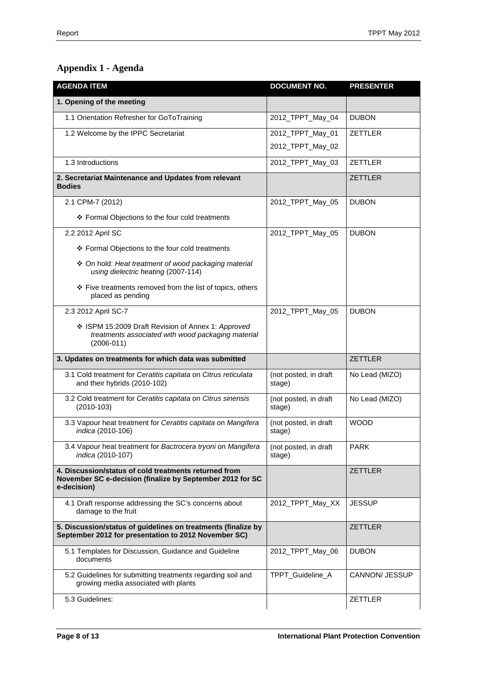# <span id="page-7-0"></span>**Appendix 1 - Agenda**

| <b>AGENDA ITEM</b>                                                                                                                | <b>DOCUMENT NO.</b>             | <b>PRESENTER</b> |
|-----------------------------------------------------------------------------------------------------------------------------------|---------------------------------|------------------|
| 1. Opening of the meeting                                                                                                         |                                 |                  |
| 1.1 Orientation Refresher for GoToTraining                                                                                        | 2012_TPPT_May_04                | <b>DUBON</b>     |
| 1.2 Welcome by the IPPC Secretariat                                                                                               | 2012_TPPT_May_01                | ZETTLER          |
|                                                                                                                                   | 2012_TPPT_May_02                |                  |
| 1.3 Introductions                                                                                                                 | 2012_TPPT_May_03                | ZETTLER          |
| 2. Secretariat Maintenance and Updates from relevant<br><b>Bodies</b>                                                             |                                 | <b>ZETTLER</b>   |
| 2.1 CPM-7 (2012)                                                                                                                  | 2012_TPPT_May_05                | <b>DUBON</b>     |
| ❖ Formal Objections to the four cold treatments                                                                                   |                                 |                  |
| 2.2 2012 April SC                                                                                                                 | 2012_TPPT_May_05                | <b>DUBON</b>     |
| ❖ Formal Objections to the four cold treatments                                                                                   |                                 |                  |
| ❖ On hold: Heat treatment of wood packaging material<br>using dielectric heating (2007-114)                                       |                                 |                  |
| ❖ Five treatments removed from the list of topics, others<br>placed as pending                                                    |                                 |                  |
| 2.3 2012 April SC-7                                                                                                               | 2012_TPPT_May_05                | <b>DUBON</b>     |
| ❖ ISPM 15:2009 Draft Revision of Annex 1: Approved<br>treatments associated with wood packaging material<br>$(2006 - 011)$        |                                 |                  |
| 3. Updates on treatments for which data was submitted                                                                             |                                 | <b>ZETTLER</b>   |
| 3.1 Cold treatment for Ceratitis capitata on Citrus reticulata<br>and their hybrids (2010-102)                                    | (not posted, in draft<br>stage) | No Lead (MIZO)   |
| 3.2 Cold treatment for Ceratitis capitata on Citrus sinensis<br>$(2010-103)$                                                      | (not posted, in draft<br>stage) | No Lead (MIZO)   |
| 3.3 Vapour heat treatment for Ceratitis capitata on Mangifera<br>indica (2010-106)                                                | (not posted, in draft<br>stage) | <b>WOOD</b>      |
| 3.4 Vapour heat treatment for Bactrocera tryoni on Mangifera<br>indica (2010-107)                                                 | (not posted, in draft<br>stage) | <b>PARK</b>      |
| 4. Discussion/status of cold treatments returned from<br>November SC e-decision (finalize by September 2012 for SC<br>e-decision) |                                 | <b>ZETTLER</b>   |
| 4.1 Draft response addressing the SC's concerns about<br>damage to the fruit                                                      | 2012_TPPT_May_XX                | <b>JESSUP</b>    |
| 5. Discussion/status of guidelines on treatments (finalize by<br>September 2012 for presentation to 2012 November SC)             |                                 | <b>ZETTLER</b>   |
| 5.1 Templates for Discussion, Guidance and Guideline<br>documents                                                                 | 2012_TPPT_May_06                | <b>DUBON</b>     |
| 5.2 Guidelines for submitting treatments regarding soil and<br>growing media associated with plants                               | TPPT_Guideline_A                | CANNON/ JESSUP   |
| 5.3 Guidelines:                                                                                                                   |                                 | <b>ZETTLER</b>   |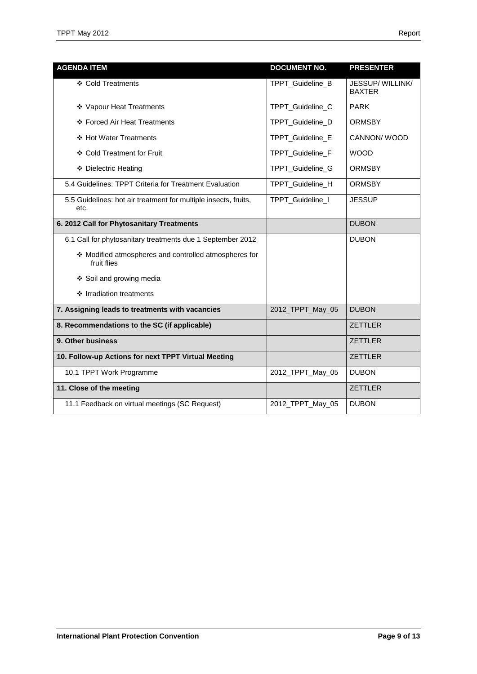| <b>AGENDA ITEM</b>                                                      | <b>DOCUMENT NO.</b>     | <b>PRESENTER</b>                 |
|-------------------------------------------------------------------------|-------------------------|----------------------------------|
| ❖ Cold Treatments                                                       | TPPT_Guideline_B        | JESSUP/WILLINK/<br><b>BAXTER</b> |
| ❖ Vapour Heat Treatments                                                | TPPT_Guideline_C        | <b>PARK</b>                      |
| ❖ Forced Air Heat Treatments                                            | TPPT_Guideline_D        | <b>ORMSBY</b>                    |
| ❖ Hot Water Treatments                                                  | TPPT_Guideline_E        | CANNON/WOOD                      |
| ❖ Cold Treatment for Fruit                                              | <b>TPPT Guideline F</b> | <b>WOOD</b>                      |
| ❖ Dielectric Heating                                                    | TPPT_Guideline_G        | <b>ORMSBY</b>                    |
| 5.4 Guidelines: TPPT Criteria for Treatment Evaluation                  | TPPT_Guideline_H        | <b>ORMSBY</b>                    |
| 5.5 Guidelines: hot air treatment for multiple insects, fruits,<br>etc. | TPPT_Guideline_I        | <b>JESSUP</b>                    |
| 6. 2012 Call for Phytosanitary Treatments                               |                         | <b>DUBON</b>                     |
| 6.1 Call for phytosanitary treatments due 1 September 2012              |                         | <b>DUBON</b>                     |
| ❖ Modified atmospheres and controlled atmospheres for<br>fruit flies    |                         |                                  |
| ❖ Soil and growing media                                                |                         |                                  |
| ❖ Irradiation treatments                                                |                         |                                  |
| 7. Assigning leads to treatments with vacancies                         | 2012_TPPT_May_05        | <b>DUBON</b>                     |
| 8. Recommendations to the SC (if applicable)                            |                         | <b>ZETTLER</b>                   |
| 9. Other business                                                       |                         | <b>ZETTLER</b>                   |
| 10. Follow-up Actions for next TPPT Virtual Meeting                     |                         | <b>ZETTLER</b>                   |
| 10.1 TPPT Work Programme                                                | 2012_TPPT_May_05        | <b>DUBON</b>                     |
| 11. Close of the meeting                                                |                         | <b>ZETTLER</b>                   |
| 11.1 Feedback on virtual meetings (SC Request)                          | 2012_TPPT_May_05        | <b>DUBON</b>                     |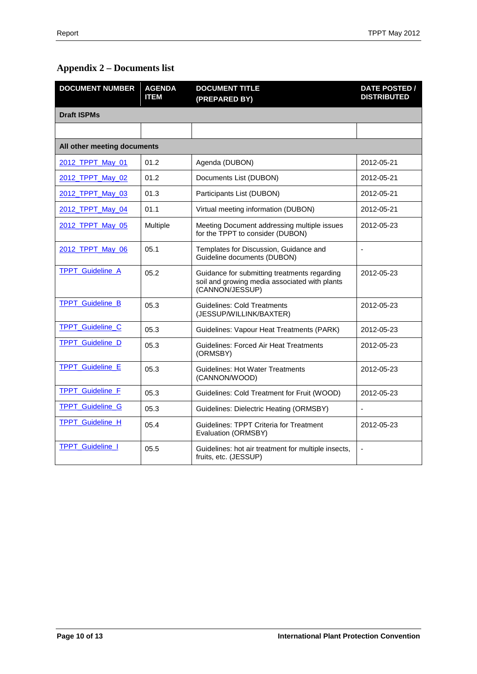# <span id="page-9-0"></span>**Appendix 2 – Documents list**

| <b>DOCUMENT NUMBER</b>      | <b>AGENDA</b><br><b>ITEM</b> | <b>DOCUMENT TITLE</b><br>(PREPARED BY)                                                                           | <b>DATE POSTED /</b><br><b>DISTRIBUTED</b> |
|-----------------------------|------------------------------|------------------------------------------------------------------------------------------------------------------|--------------------------------------------|
| <b>Draft ISPMs</b>          |                              |                                                                                                                  |                                            |
|                             |                              |                                                                                                                  |                                            |
| All other meeting documents |                              |                                                                                                                  |                                            |
| 2012 TPPT May 01            | 01.2                         | Agenda (DUBON)                                                                                                   | 2012-05-21                                 |
| 2012 TPPT May 02            | 01.2                         | Documents List (DUBON)                                                                                           | 2012-05-21                                 |
| 2012_TPPT_May_03            | 01.3                         | Participants List (DUBON)                                                                                        | 2012-05-21                                 |
| 2012 TPPT May 04            | 01.1                         | Virtual meeting information (DUBON)                                                                              | 2012-05-21                                 |
| 2012_TPPT_May_05            | Multiple                     | Meeting Document addressing multiple issues<br>for the TPPT to consider (DUBON)                                  | 2012-05-23                                 |
| 2012_TPPT_May_06            | 05.1                         | Templates for Discussion, Guidance and<br>Guideline documents (DUBON)                                            | ÷,                                         |
| TPPT_Guideline_A            | 05.2                         | Guidance for submitting treatments regarding<br>soil and growing media associated with plants<br>(CANNON/JESSUP) | 2012-05-23                                 |
| <b>TPPT</b> Guideline B     | 05.3                         | <b>Guidelines: Cold Treatments</b><br>(JESSUP/WILLINK/BAXTER)                                                    | 2012-05-23                                 |
| <b>TPPT Guideline C</b>     | 05.3                         | Guidelines: Vapour Heat Treatments (PARK)                                                                        | 2012-05-23                                 |
| <b>TPPT_Guideline_D</b>     | 05.3                         | <b>Guidelines: Forced Air Heat Treatments</b><br>(ORMSBY)                                                        | 2012-05-23                                 |
| TPPT_Guideline_E            | 05.3                         | <b>Guidelines: Hot Water Treatments</b><br>(CANNON/WOOD)                                                         | 2012-05-23                                 |
| TPPT_Guideline_F            | 05.3                         | Guidelines: Cold Treatment for Fruit (WOOD)                                                                      | 2012-05-23                                 |
| <b>TPPT_Guideline_G</b>     | 05.3                         | Guidelines: Dielectric Heating (ORMSBY)                                                                          |                                            |
| <b>TPPT</b> Guideline H     | 05.4                         | Guidelines: TPPT Criteria for Treatment<br>Evaluation (ORMSBY)                                                   | 2012-05-23                                 |
| <b>TPPT_Guideline_I</b>     | 05.5                         | Guidelines: hot air treatment for multiple insects,<br>fruits, etc. (JESSUP)                                     | $\blacksquare$                             |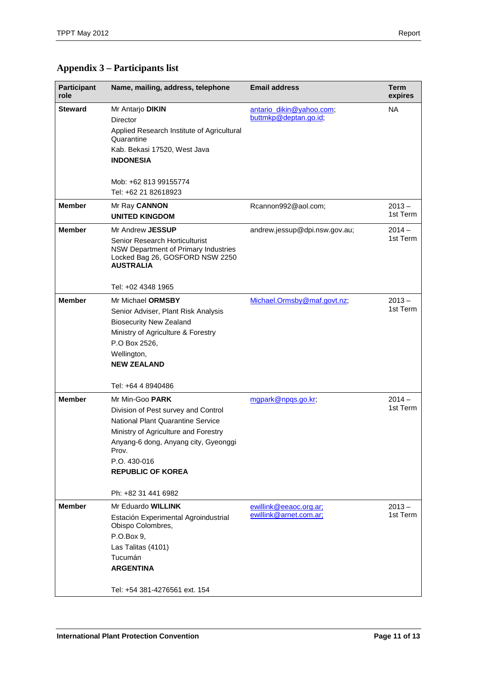# <span id="page-10-0"></span>**Appendix 3 – Participants list**

| <b>Participant</b><br>role | Name, mailing, address, telephone                                                                                                                                                                                                                                             | <b>Email address</b>                              | <b>Term</b><br>expires |
|----------------------------|-------------------------------------------------------------------------------------------------------------------------------------------------------------------------------------------------------------------------------------------------------------------------------|---------------------------------------------------|------------------------|
| <b>Steward</b>             | Mr Antarjo DIKIN<br>Director<br>Applied Research Institute of Agricultural<br>Quarantine<br>Kab. Bekasi 17520, West Java<br><b>INDONESIA</b>                                                                                                                                  | antario dikin@yahoo.com;<br>buttmkp@deptan.go.id; | <b>NA</b>              |
|                            | Mob: +62 813 99155774<br>Tel: +62 21 82618923                                                                                                                                                                                                                                 |                                                   |                        |
| <b>Member</b>              | Mr Ray CANNON<br><b>UNITED KINGDOM</b>                                                                                                                                                                                                                                        | Rcannon992@aol.com;                               | $2013 -$<br>1st Term   |
| <b>Member</b>              | Mr Andrew JESSUP<br>Senior Research Horticulturist<br>NSW Department of Primary Industries<br>Locked Bag 26, GOSFORD NSW 2250<br><b>AUSTRALIA</b><br>Tel: +02 4348 1965                                                                                                       | andrew.jessup@dpi.nsw.gov.au;                     | $2014 -$<br>1st Term   |
| <b>Member</b>              | Mr Michael ORMSBY<br>Senior Adviser, Plant Risk Analysis<br><b>Biosecurity New Zealand</b><br>Ministry of Agriculture & Forestry<br>P.O Box 2526,<br>Wellington,<br><b>NEW ZEALAND</b>                                                                                        | Michael.Ormsby@maf.govt.nz;                       | $2013 -$<br>1st Term   |
| <b>Member</b>              | Tel: +64 4 8940486<br>Mr Min-Goo PARK<br>Division of Pest survey and Control<br>National Plant Quarantine Service<br>Ministry of Agriculture and Forestry<br>Anyang-6 dong, Anyang city, Gyeonggi<br>Prov.<br>P.O. 430-016<br><b>REPUBLIC OF KOREA</b><br>Ph: +82 31 441 6982 | mgpark@npgs.go.kr;                                | $2014 -$<br>1st Term   |
| <b>Member</b>              | Mr Eduardo WILLINK<br>Estación Experimental Agroindustrial<br>Obispo Colombres,<br>P.O.Box 9,<br>Las Talitas (4101)<br>Tucumán<br><b>ARGENTINA</b><br>Tel: +54 381-4276561 ext. 154                                                                                           | ewillink@eeaoc.org.ar;<br>ewillink@arnet.com.ar;  | $2013 -$<br>1st Term   |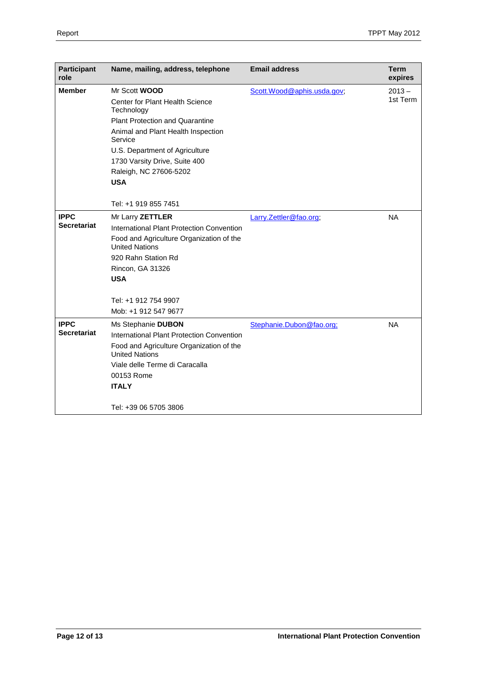| Participant<br>role | Name, mailing, address, telephone                                 | <b>Email address</b>        | Term<br>expires |
|---------------------|-------------------------------------------------------------------|-----------------------------|-----------------|
| <b>Member</b>       | Mr Scott WOOD                                                     | Scott. Wood@aphis.usda.gov; | $2013 -$        |
|                     | <b>Center for Plant Health Science</b><br>Technology              |                             | 1st Term        |
|                     | <b>Plant Protection and Quarantine</b>                            |                             |                 |
|                     | Animal and Plant Health Inspection<br>Service                     |                             |                 |
|                     | U.S. Department of Agriculture                                    |                             |                 |
|                     | 1730 Varsity Drive, Suite 400                                     |                             |                 |
|                     | Raleigh, NC 27606-5202                                            |                             |                 |
|                     | <b>USA</b>                                                        |                             |                 |
|                     |                                                                   |                             |                 |
|                     | Tel: +1 919 855 7451                                              |                             |                 |
| <b>IPPC</b>         | Mr Larry ZETTLER                                                  | Larry.Zettler@fao.org;      | <b>NA</b>       |
| <b>Secretariat</b>  | International Plant Protection Convention                         |                             |                 |
|                     | Food and Agriculture Organization of the<br><b>United Nations</b> |                             |                 |
|                     | 920 Rahn Station Rd                                               |                             |                 |
|                     | Rincon, GA 31326                                                  |                             |                 |
|                     | <b>USA</b>                                                        |                             |                 |
|                     |                                                                   |                             |                 |
|                     | Tel: +1 912 754 9907                                              |                             |                 |
|                     | Mob: +1 912 547 9677                                              |                             |                 |
| <b>IPPC</b>         | Ms Stephanie DUBON                                                | Stephanie.Dubon@fao.org;    | <b>NA</b>       |
| Secretariat         | International Plant Protection Convention                         |                             |                 |
|                     | Food and Agriculture Organization of the<br><b>United Nations</b> |                             |                 |
|                     | Viale delle Terme di Caracalla                                    |                             |                 |
|                     | 00153 Rome                                                        |                             |                 |
|                     | <b>ITALY</b>                                                      |                             |                 |
|                     | Tel: +39 06 5705 3806                                             |                             |                 |